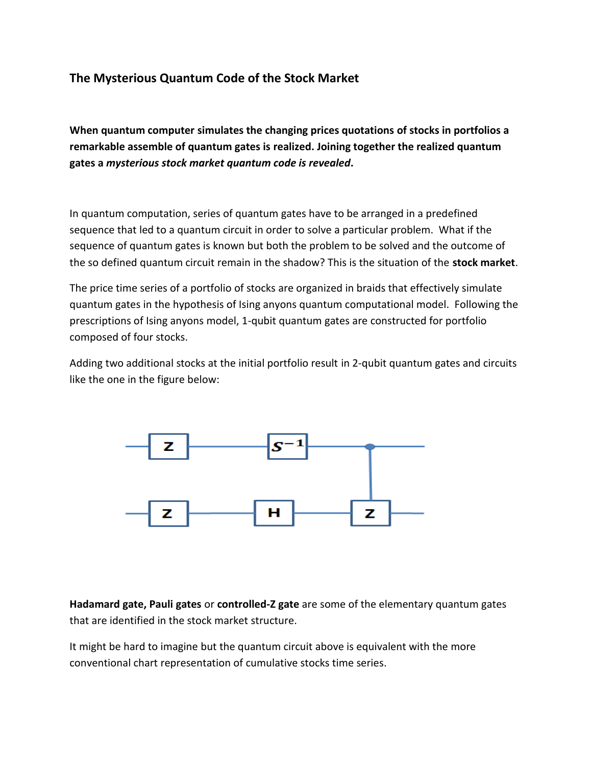## **The Mysterious Quantum Code of the Stock Market**

**When quantum computer simulates the changing prices quotations of stocks in portfolios a remarkable assemble of quantum gates is realized. Joining together the realized quantum gates a** *mysterious stock market quantum code is revealed***.** 

In quantum computation, series of quantum gates have to be arranged in a predefined sequence that led to a quantum circuit in order to solve a particular problem. What if the sequence of quantum gates is known but both the problem to be solved and the outcome of the so defined quantum circuit remain in the shadow? This is the situation of the **stock market**.

The price time series of a portfolio of stocks are organized in braids that effectively simulate quantum gates in the hypothesis of Ising anyons quantum computational model. Following the prescriptions of Ising anyons model, 1-qubit quantum gates are constructed for portfolio composed of four stocks.

Adding two additional stocks at the initial portfolio result in 2-qubit quantum gates and circuits like the one in the figure below:



**Hadamard gate, Pauli gates** or **controlled-Z gate** are some of the elementary quantum gates that are identified in the stock market structure.

It might be hard to imagine but the quantum circuit above is equivalent with the more conventional chart representation of cumulative stocks time series.